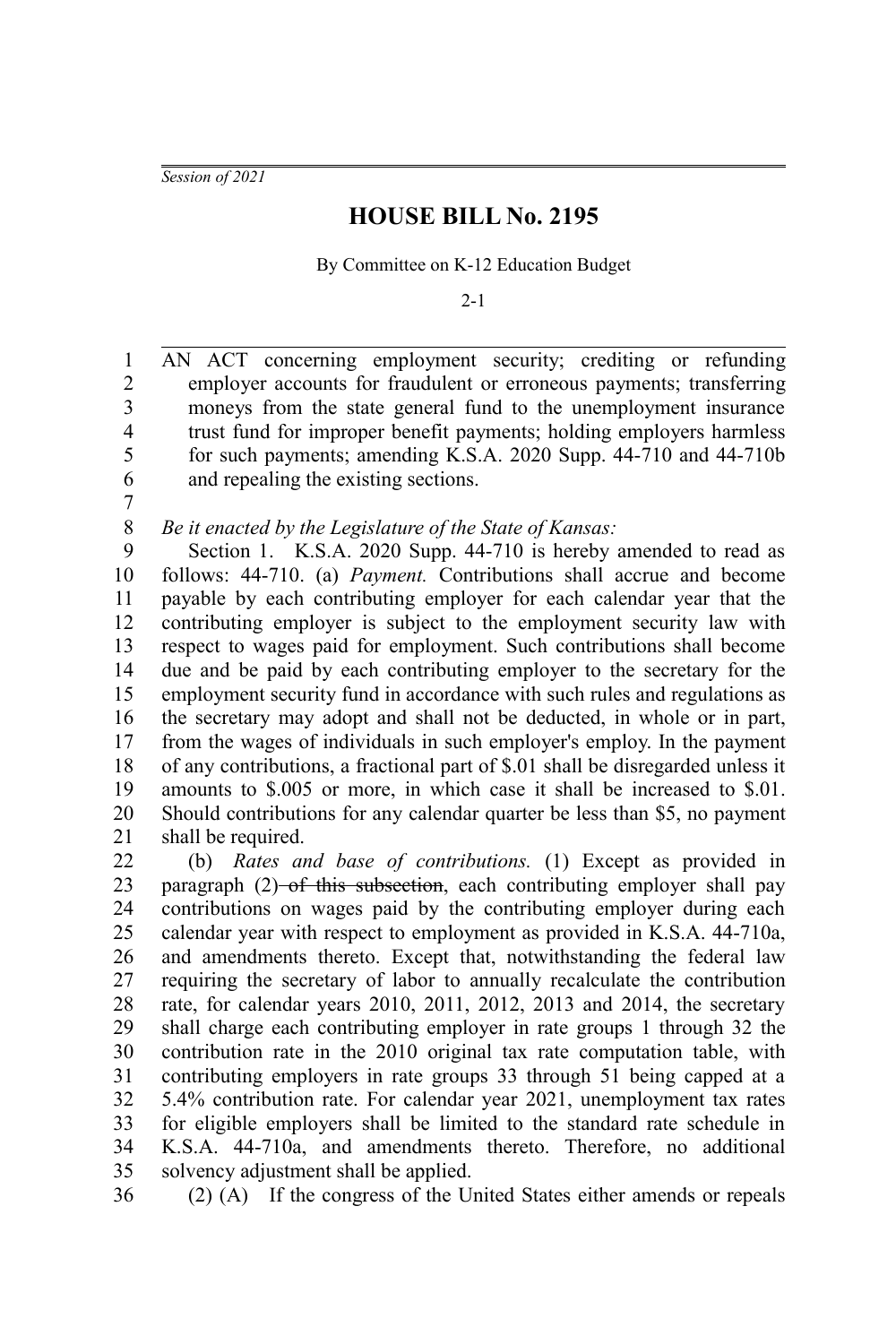*Session of 2021*

## **HOUSE BILL No. 2195**

By Committee on K-12 Education Budget

 $2 - 1$ 

AN ACT concerning employment security; crediting or refunding employer accounts for fraudulent or erroneous payments; transferring moneys from the state general fund to the unemployment insurance trust fund for improper benefit payments; holding employers harmless for such payments; amending K.S.A. 2020 Supp. 44-710 and 44-710b and repealing the existing sections. 1 2 3 4 5 6

7 8

## *Be it enacted by the Legislature of the State of Kansas:*

Section 1. K.S.A. 2020 Supp. 44-710 is hereby amended to read as follows: 44-710. (a) *Payment.* Contributions shall accrue and become payable by each contributing employer for each calendar year that the contributing employer is subject to the employment security law with respect to wages paid for employment. Such contributions shall become due and be paid by each contributing employer to the secretary for the employment security fund in accordance with such rules and regulations as the secretary may adopt and shall not be deducted, in whole or in part, from the wages of individuals in such employer's employ. In the payment of any contributions, a fractional part of \$.01 shall be disregarded unless it amounts to \$.005 or more, in which case it shall be increased to \$.01. Should contributions for any calendar quarter be less than \$5, no payment shall be required. 9 10 11 12 13 14 15 16 17 18 19 20 21

(b) *Rates and base of contributions.* (1) Except as provided in paragraph (2)–of this subsection, each contributing employer shall pay contributions on wages paid by the contributing employer during each calendar year with respect to employment as provided in K.S.A. 44-710a, and amendments thereto. Except that, notwithstanding the federal law requiring the secretary of labor to annually recalculate the contribution rate, for calendar years 2010, 2011, 2012, 2013 and 2014, the secretary shall charge each contributing employer in rate groups 1 through 32 the contribution rate in the 2010 original tax rate computation table, with contributing employers in rate groups 33 through 51 being capped at a 5.4% contribution rate. For calendar year 2021, unemployment tax rates for eligible employers shall be limited to the standard rate schedule in K.S.A. 44-710a, and amendments thereto. Therefore, no additional solvency adjustment shall be applied. 22 23 24 25 26 27 28 29 30 31 32 33 34 35

(2) (A) If the congress of the United States either amends or repeals

<sup>36</sup>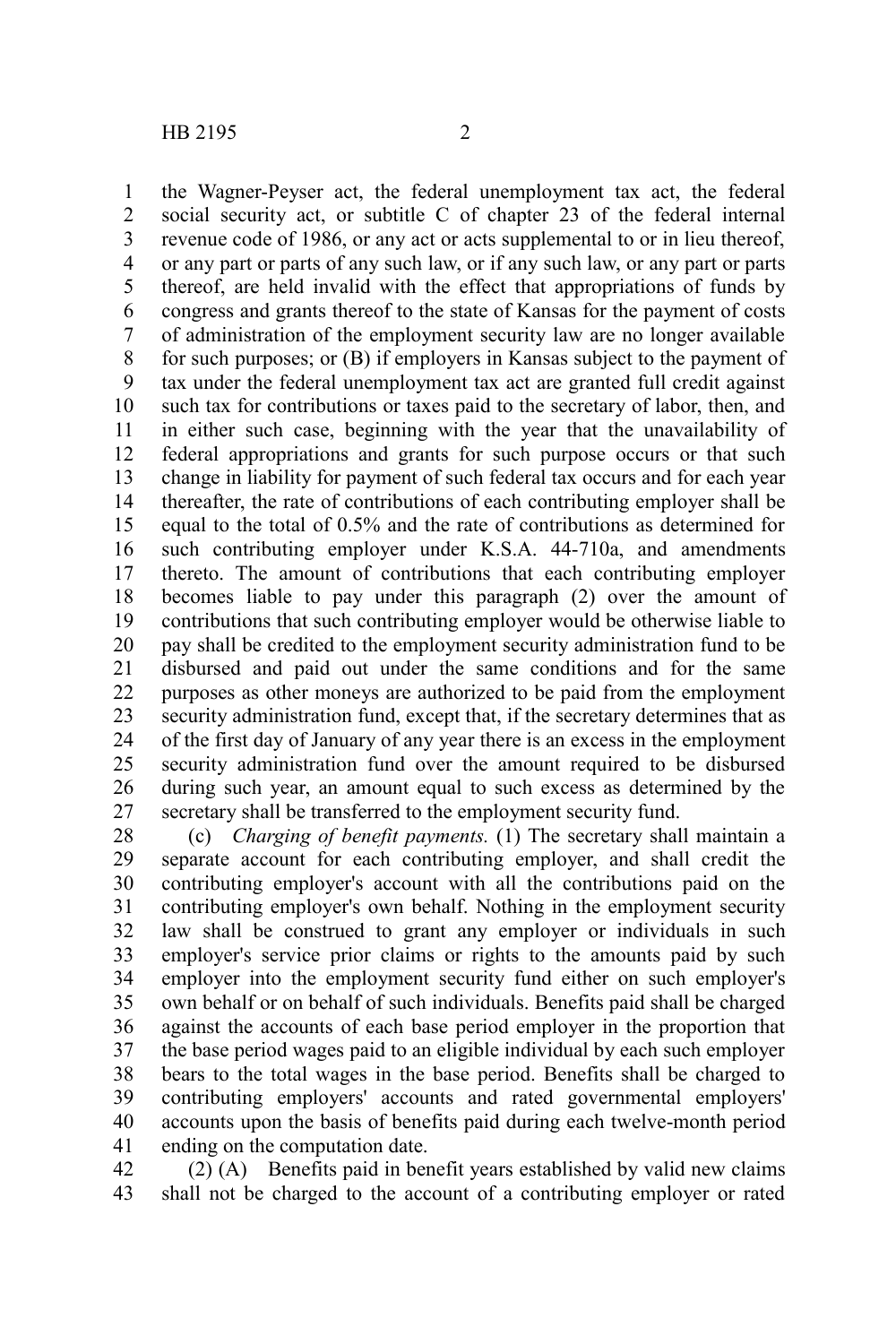the Wagner-Peyser act, the federal unemployment tax act, the federal social security act, or subtitle C of chapter 23 of the federal internal revenue code of 1986, or any act or acts supplemental to or in lieu thereof, or any part or parts of any such law, or if any such law, or any part or parts thereof, are held invalid with the effect that appropriations of funds by congress and grants thereof to the state of Kansas for the payment of costs of administration of the employment security law are no longer available for such purposes; or (B) if employers in Kansas subject to the payment of tax under the federal unemployment tax act are granted full credit against such tax for contributions or taxes paid to the secretary of labor, then, and in either such case, beginning with the year that the unavailability of federal appropriations and grants for such purpose occurs or that such change in liability for payment of such federal tax occurs and for each year thereafter, the rate of contributions of each contributing employer shall be equal to the total of 0.5% and the rate of contributions as determined for such contributing employer under K.S.A. 44-710a, and amendments thereto. The amount of contributions that each contributing employer becomes liable to pay under this paragraph (2) over the amount of contributions that such contributing employer would be otherwise liable to pay shall be credited to the employment security administration fund to be disbursed and paid out under the same conditions and for the same purposes as other moneys are authorized to be paid from the employment security administration fund, except that, if the secretary determines that as of the first day of January of any year there is an excess in the employment security administration fund over the amount required to be disbursed during such year, an amount equal to such excess as determined by the secretary shall be transferred to the employment security fund. 1 2 3 4 5 6 7 8 9 10 11 12 13 14 15 16 17 18 19 20 21 22 23 24 25 26 27

(c) *Charging of benefit payments.* (1) The secretary shall maintain a separate account for each contributing employer, and shall credit the contributing employer's account with all the contributions paid on the contributing employer's own behalf. Nothing in the employment security law shall be construed to grant any employer or individuals in such employer's service prior claims or rights to the amounts paid by such employer into the employment security fund either on such employer's own behalf or on behalf of such individuals. Benefits paid shall be charged against the accounts of each base period employer in the proportion that the base period wages paid to an eligible individual by each such employer bears to the total wages in the base period. Benefits shall be charged to contributing employers' accounts and rated governmental employers' accounts upon the basis of benefits paid during each twelve-month period ending on the computation date. 28 29 30 31 32 33 34 35 36 37 38 39 40 41

(2) (A) Benefits paid in benefit years established by valid new claims shall not be charged to the account of a contributing employer or rated 42 43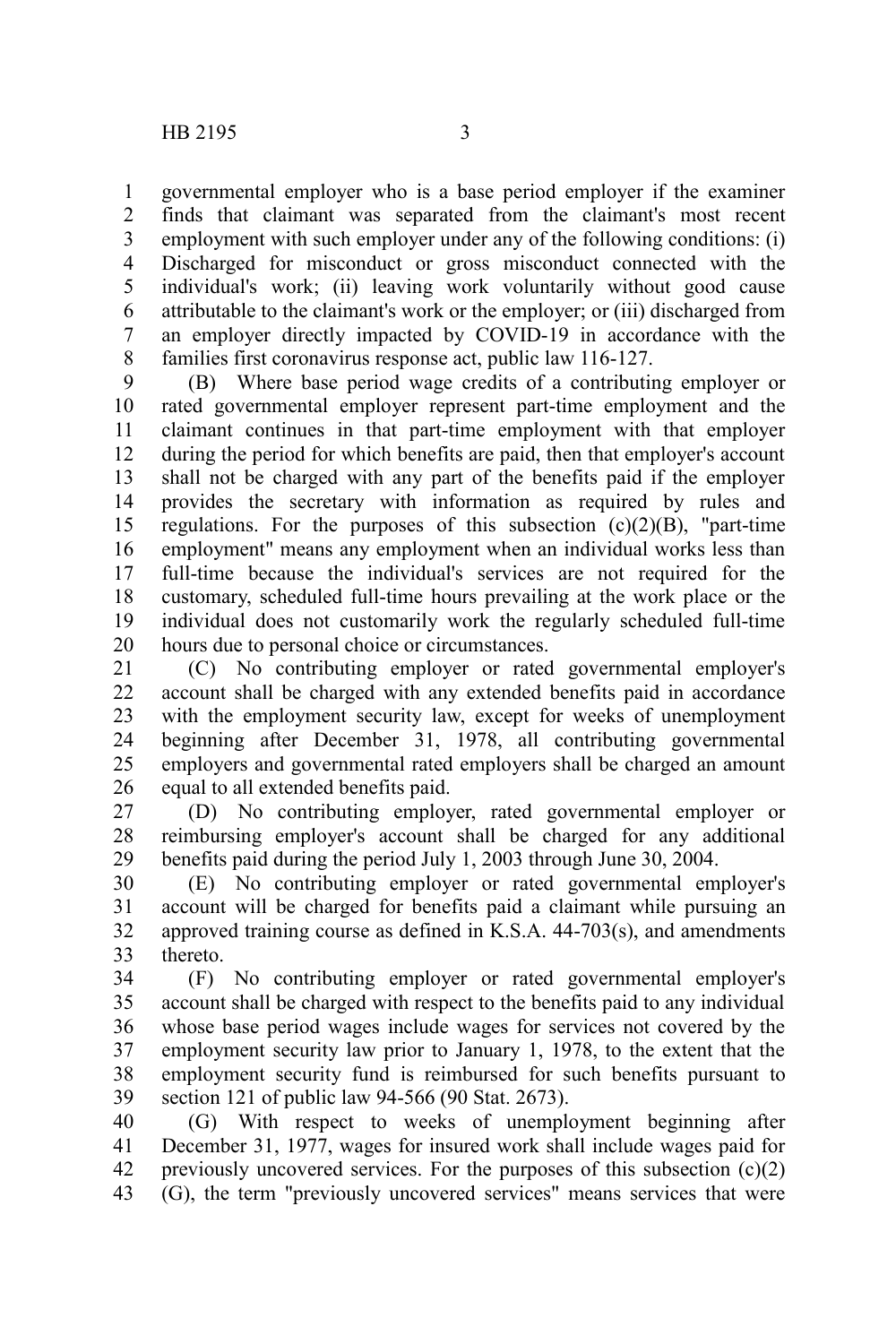governmental employer who is a base period employer if the examiner finds that claimant was separated from the claimant's most recent employment with such employer under any of the following conditions: (i) Discharged for misconduct or gross misconduct connected with the individual's work; (ii) leaving work voluntarily without good cause attributable to the claimant's work or the employer; or (iii) discharged from an employer directly impacted by COVID-19 in accordance with the families first coronavirus response act, public law 116-127. 1 2 3 4 5 6 7 8

(B) Where base period wage credits of a contributing employer or rated governmental employer represent part-time employment and the claimant continues in that part-time employment with that employer during the period for which benefits are paid, then that employer's account shall not be charged with any part of the benefits paid if the employer provides the secretary with information as required by rules and regulations. For the purposes of this subsection  $(c)(2)(B)$ , "part-time employment" means any employment when an individual works less than full-time because the individual's services are not required for the customary, scheduled full-time hours prevailing at the work place or the individual does not customarily work the regularly scheduled full-time hours due to personal choice or circumstances. 9 10 11 12 13 14 15 16 17 18 19 20

(C) No contributing employer or rated governmental employer's account shall be charged with any extended benefits paid in accordance with the employment security law, except for weeks of unemployment beginning after December 31, 1978, all contributing governmental employers and governmental rated employers shall be charged an amount equal to all extended benefits paid. 21 22 23 24 25 26

(D) No contributing employer, rated governmental employer or reimbursing employer's account shall be charged for any additional benefits paid during the period July 1, 2003 through June 30, 2004. 27 28 29

(E) No contributing employer or rated governmental employer's account will be charged for benefits paid a claimant while pursuing an approved training course as defined in K.S.A. 44-703(s), and amendments thereto. 30 31 32 33

(F) No contributing employer or rated governmental employer's account shall be charged with respect to the benefits paid to any individual whose base period wages include wages for services not covered by the employment security law prior to January 1, 1978, to the extent that the employment security fund is reimbursed for such benefits pursuant to section 121 of public law 94-566 (90 Stat. 2673). 34 35 36 37 38 39

(G) With respect to weeks of unemployment beginning after December 31, 1977, wages for insured work shall include wages paid for previously uncovered services. For the purposes of this subsection  $(c)(2)$ (G), the term "previously uncovered services" means services that were 40 41 42 43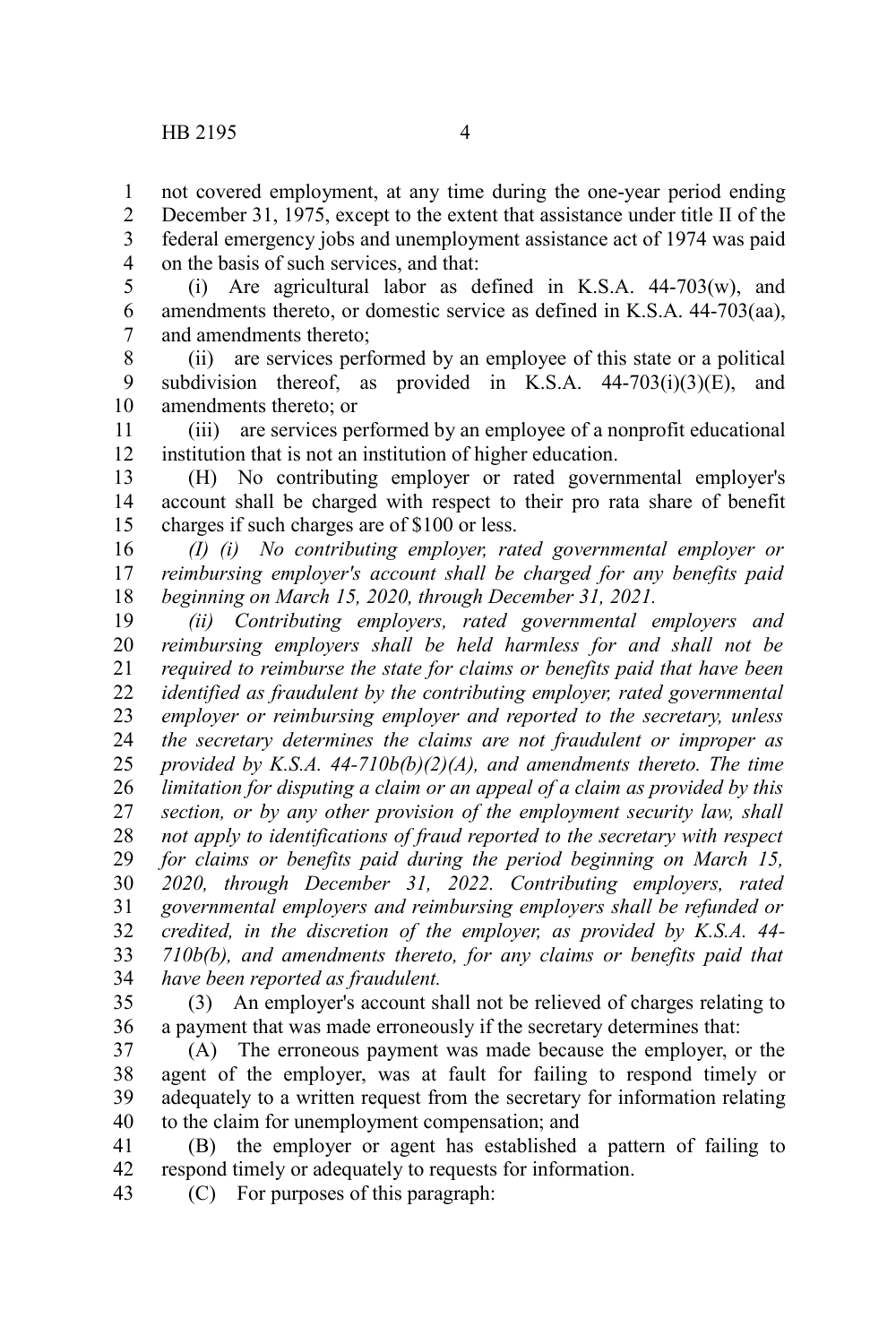not covered employment, at any time during the one-year period ending December 31, 1975, except to the extent that assistance under title II of the federal emergency jobs and unemployment assistance act of 1974 was paid on the basis of such services, and that: 1 2 3 4

(i) Are agricultural labor as defined in K.S.A. 44-703(w), and amendments thereto, or domestic service as defined in K.S.A. 44-703(aa), and amendments thereto; 5 6 7

(ii) are services performed by an employee of this state or a political subdivision thereof, as provided in K.S.A.  $44-703(i)(3)(E)$ , and amendments thereto; or 8 9 10

(iii) are services performed by an employee of a nonprofit educational institution that is not an institution of higher education. 11 12

(H) No contributing employer or rated governmental employer's account shall be charged with respect to their pro rata share of benefit charges if such charges are of \$100 or less. 13 14 15

*(I) (i) No contributing employer, rated governmental employer or reimbursing employer's account shall be charged for any benefits paid beginning on March 15, 2020, through December 31, 2021.* 16 17 18

*(ii) Contributing employers, rated governmental employers and reimbursing employers shall be held harmless for and shall not be required to reimburse the state for claims or benefits paid that have been identified as fraudulent by the contributing employer, rated governmental employer or reimbursing employer and reported to the secretary, unless the secretary determines the claims are not fraudulent or improper as provided by K.S.A. 44-710b(b)(2)(A), and amendments thereto. The time limitation for disputing a claim or an appeal of a claim as provided by this section, or by any other provision of the employment security law, shall not apply to identifications of fraud reported to the secretary with respect for claims or benefits paid during the period beginning on March 15, 2020, through December 31, 2022. Contributing employers, rated governmental employers and reimbursing employers shall be refunded or credited, in the discretion of the employer, as provided by K.S.A. 44- 710b(b), and amendments thereto, for any claims or benefits paid that have been reported as fraudulent.* 19 20 21 22 23 24 25 26 27 28 29 30 31 32 33 34

(3) An employer's account shall not be relieved of charges relating to a payment that was made erroneously if the secretary determines that: 35 36

(A) The erroneous payment was made because the employer, or the agent of the employer, was at fault for failing to respond timely or adequately to a written request from the secretary for information relating to the claim for unemployment compensation; and 37 38 39 40

(B) the employer or agent has established a pattern of failing to respond timely or adequately to requests for information. 41 42

(C) For purposes of this paragraph: 43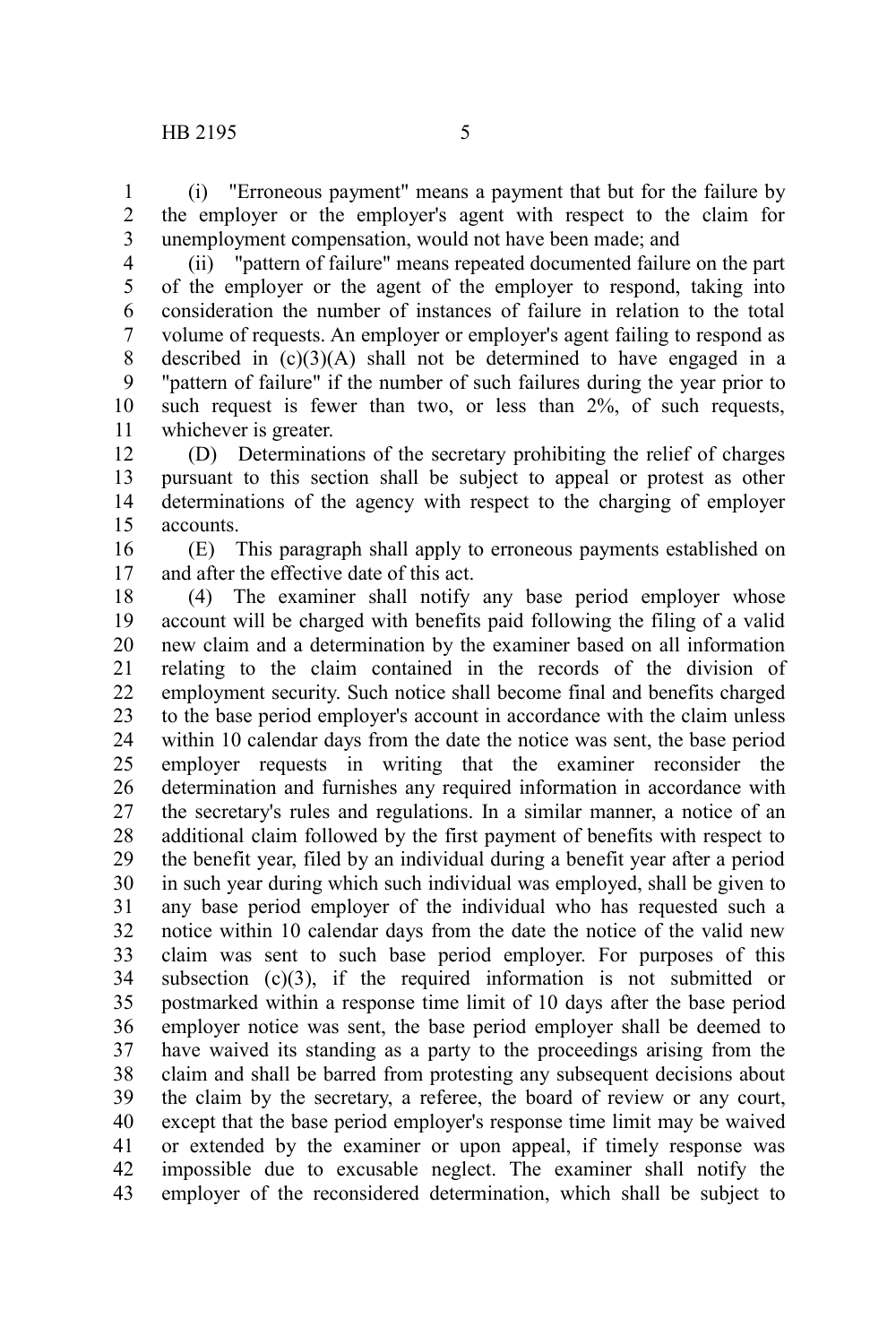(i) "Erroneous payment" means a payment that but for the failure by the employer or the employer's agent with respect to the claim for unemployment compensation, would not have been made; and 1 2 3

4

(ii) "pattern of failure" means repeated documented failure on the part of the employer or the agent of the employer to respond, taking into consideration the number of instances of failure in relation to the total volume of requests. An employer or employer's agent failing to respond as described in  $(c)(3)(A)$  shall not be determined to have engaged in a "pattern of failure" if the number of such failures during the year prior to such request is fewer than two, or less than 2%, of such requests, whichever is greater. 5 6 7 8 9 10 11

(D) Determinations of the secretary prohibiting the relief of charges pursuant to this section shall be subject to appeal or protest as other determinations of the agency with respect to the charging of employer accounts. 12 13 14 15

(E) This paragraph shall apply to erroneous payments established on and after the effective date of this act. 16 17

(4) The examiner shall notify any base period employer whose account will be charged with benefits paid following the filing of a valid new claim and a determination by the examiner based on all information relating to the claim contained in the records of the division of employment security. Such notice shall become final and benefits charged to the base period employer's account in accordance with the claim unless within 10 calendar days from the date the notice was sent, the base period employer requests in writing that the examiner reconsider the determination and furnishes any required information in accordance with the secretary's rules and regulations. In a similar manner, a notice of an additional claim followed by the first payment of benefits with respect to the benefit year, filed by an individual during a benefit year after a period in such year during which such individual was employed, shall be given to any base period employer of the individual who has requested such a notice within 10 calendar days from the date the notice of the valid new claim was sent to such base period employer. For purposes of this subsection  $(c)(3)$ , if the required information is not submitted or postmarked within a response time limit of 10 days after the base period employer notice was sent, the base period employer shall be deemed to have waived its standing as a party to the proceedings arising from the claim and shall be barred from protesting any subsequent decisions about the claim by the secretary, a referee, the board of review or any court, except that the base period employer's response time limit may be waived or extended by the examiner or upon appeal, if timely response was impossible due to excusable neglect. The examiner shall notify the employer of the reconsidered determination, which shall be subject to 18 19 20 21 22 23 24 25 26 27 28 29 30 31 32 33 34 35 36 37 38 39 40 41 42 43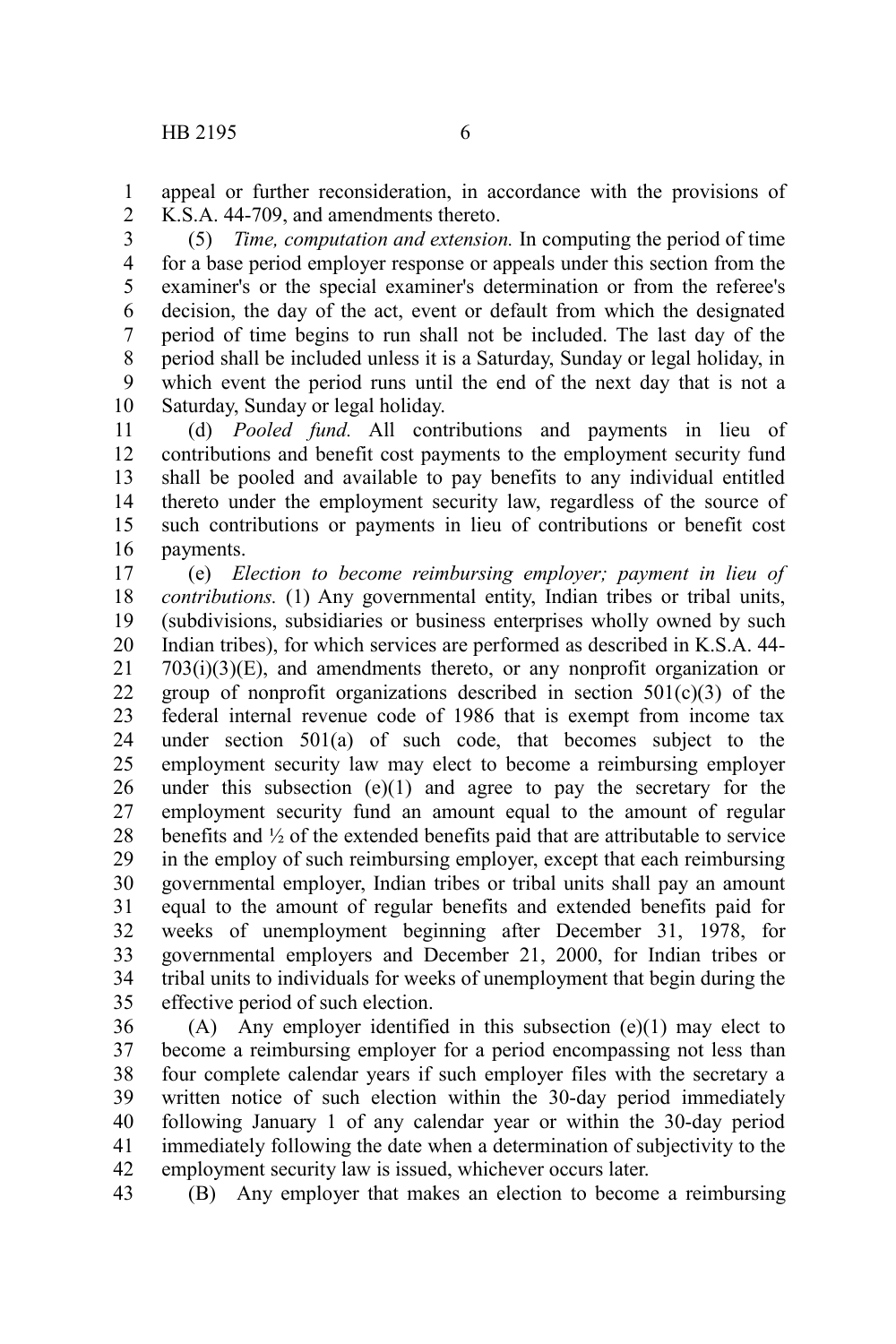appeal or further reconsideration, in accordance with the provisions of K.S.A. 44-709, and amendments thereto. 1 2

(5) *Time, computation and extension.* In computing the period of time for a base period employer response or appeals under this section from the examiner's or the special examiner's determination or from the referee's decision, the day of the act, event or default from which the designated period of time begins to run shall not be included. The last day of the period shall be included unless it is a Saturday, Sunday or legal holiday, in which event the period runs until the end of the next day that is not a Saturday, Sunday or legal holiday. 3 4 5 6 7 8 9 10

(d) *Pooled fund.* All contributions and payments in lieu of contributions and benefit cost payments to the employment security fund shall be pooled and available to pay benefits to any individual entitled thereto under the employment security law, regardless of the source of such contributions or payments in lieu of contributions or benefit cost payments. 11 12 13 14 15 16

(e) *Election to become reimbursing employer; payment in lieu of contributions.* (1) Any governmental entity, Indian tribes or tribal units, (subdivisions, subsidiaries or business enterprises wholly owned by such Indian tribes), for which services are performed as described in K.S.A. 44-  $703(i)(3)(E)$ , and amendments thereto, or any nonprofit organization or group of nonprofit organizations described in section  $501(c)(3)$  of the federal internal revenue code of 1986 that is exempt from income tax under section 501(a) of such code, that becomes subject to the employment security law may elect to become a reimbursing employer under this subsection  $(e)(1)$  and agree to pay the secretary for the employment security fund an amount equal to the amount of regular benefits and ½ of the extended benefits paid that are attributable to service in the employ of such reimbursing employer, except that each reimbursing governmental employer, Indian tribes or tribal units shall pay an amount equal to the amount of regular benefits and extended benefits paid for weeks of unemployment beginning after December 31, 1978, for governmental employers and December 21, 2000, for Indian tribes or tribal units to individuals for weeks of unemployment that begin during the effective period of such election. 17 18 19 20 21 22 23 24 25 26 27 28 29 30 31 32 33 34 35

(A) Any employer identified in this subsection (e)(1) may elect to become a reimbursing employer for a period encompassing not less than four complete calendar years if such employer files with the secretary a written notice of such election within the 30-day period immediately following January 1 of any calendar year or within the 30-day period immediately following the date when a determination of subjectivity to the employment security law is issued, whichever occurs later. 36 37 38 39 40 41 42

(B) Any employer that makes an election to become a reimbursing 43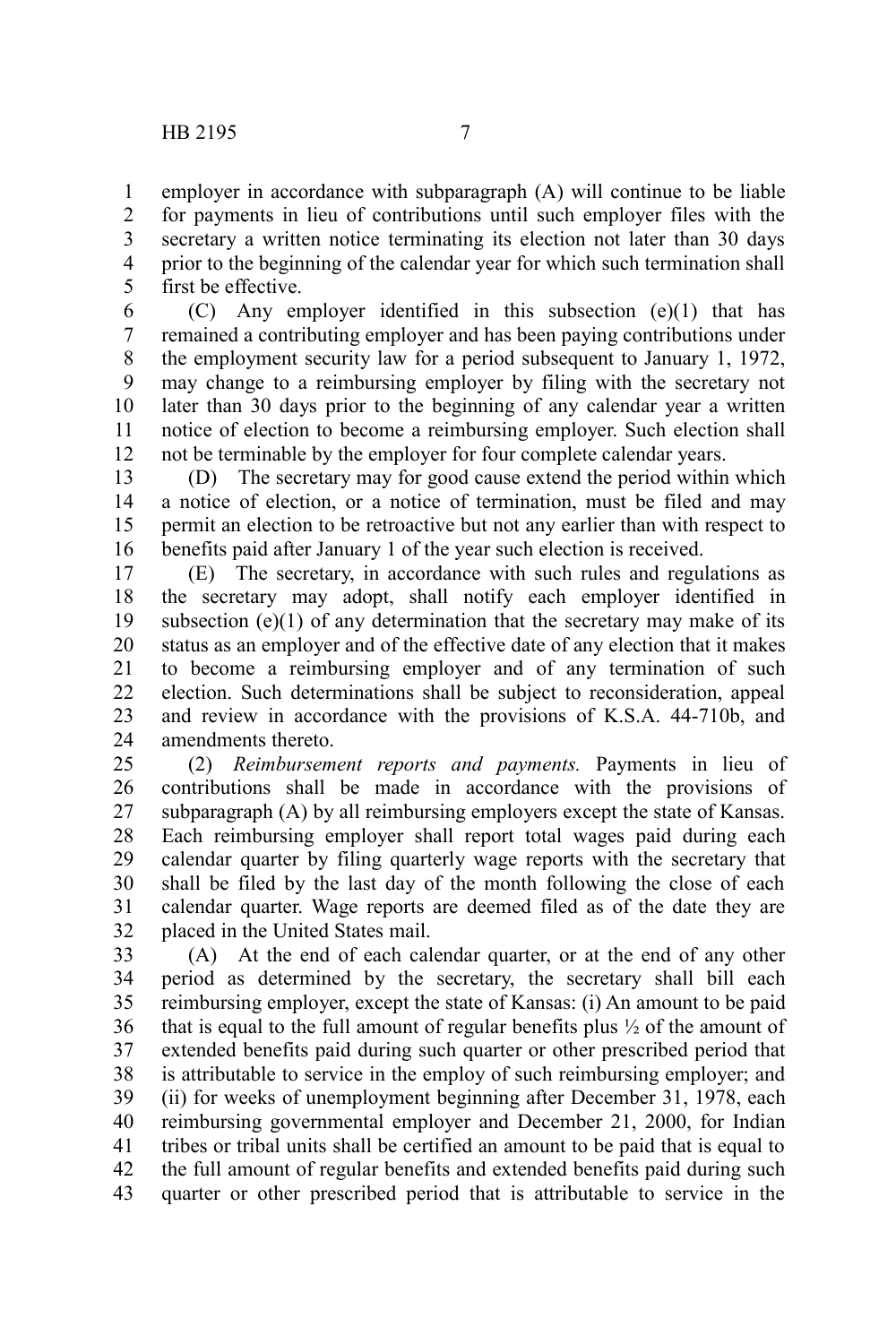employer in accordance with subparagraph (A) will continue to be liable for payments in lieu of contributions until such employer files with the secretary a written notice terminating its election not later than 30 days prior to the beginning of the calendar year for which such termination shall first be effective. 1 2 3 4 5

(C) Any employer identified in this subsection (e)(1) that has remained a contributing employer and has been paying contributions under the employment security law for a period subsequent to January 1, 1972, may change to a reimbursing employer by filing with the secretary not later than 30 days prior to the beginning of any calendar year a written notice of election to become a reimbursing employer. Such election shall not be terminable by the employer for four complete calendar years. 6 7 8 9 10 11 12

(D) The secretary may for good cause extend the period within which a notice of election, or a notice of termination, must be filed and may permit an election to be retroactive but not any earlier than with respect to benefits paid after January 1 of the year such election is received. 13 14 15 16

(E) The secretary, in accordance with such rules and regulations as the secretary may adopt, shall notify each employer identified in subsection  $(e)(1)$  of any determination that the secretary may make of its status as an employer and of the effective date of any election that it makes to become a reimbursing employer and of any termination of such election. Such determinations shall be subject to reconsideration, appeal and review in accordance with the provisions of K.S.A. 44-710b, and amendments thereto. 17 18 19 20 21 22 23 24

(2) *Reimbursement reports and payments.* Payments in lieu of contributions shall be made in accordance with the provisions of subparagraph (A) by all reimbursing employers except the state of Kansas. Each reimbursing employer shall report total wages paid during each calendar quarter by filing quarterly wage reports with the secretary that shall be filed by the last day of the month following the close of each calendar quarter. Wage reports are deemed filed as of the date they are placed in the United States mail. 25 26 27 28 29 30 31 32

(A) At the end of each calendar quarter, or at the end of any other period as determined by the secretary, the secretary shall bill each reimbursing employer, except the state of Kansas: (i) An amount to be paid that is equal to the full amount of regular benefits plus  $\frac{1}{2}$  of the amount of extended benefits paid during such quarter or other prescribed period that is attributable to service in the employ of such reimbursing employer; and (ii) for weeks of unemployment beginning after December 31, 1978, each reimbursing governmental employer and December 21, 2000, for Indian tribes or tribal units shall be certified an amount to be paid that is equal to the full amount of regular benefits and extended benefits paid during such quarter or other prescribed period that is attributable to service in the 33 34 35 36 37 38 39 40 41 42 43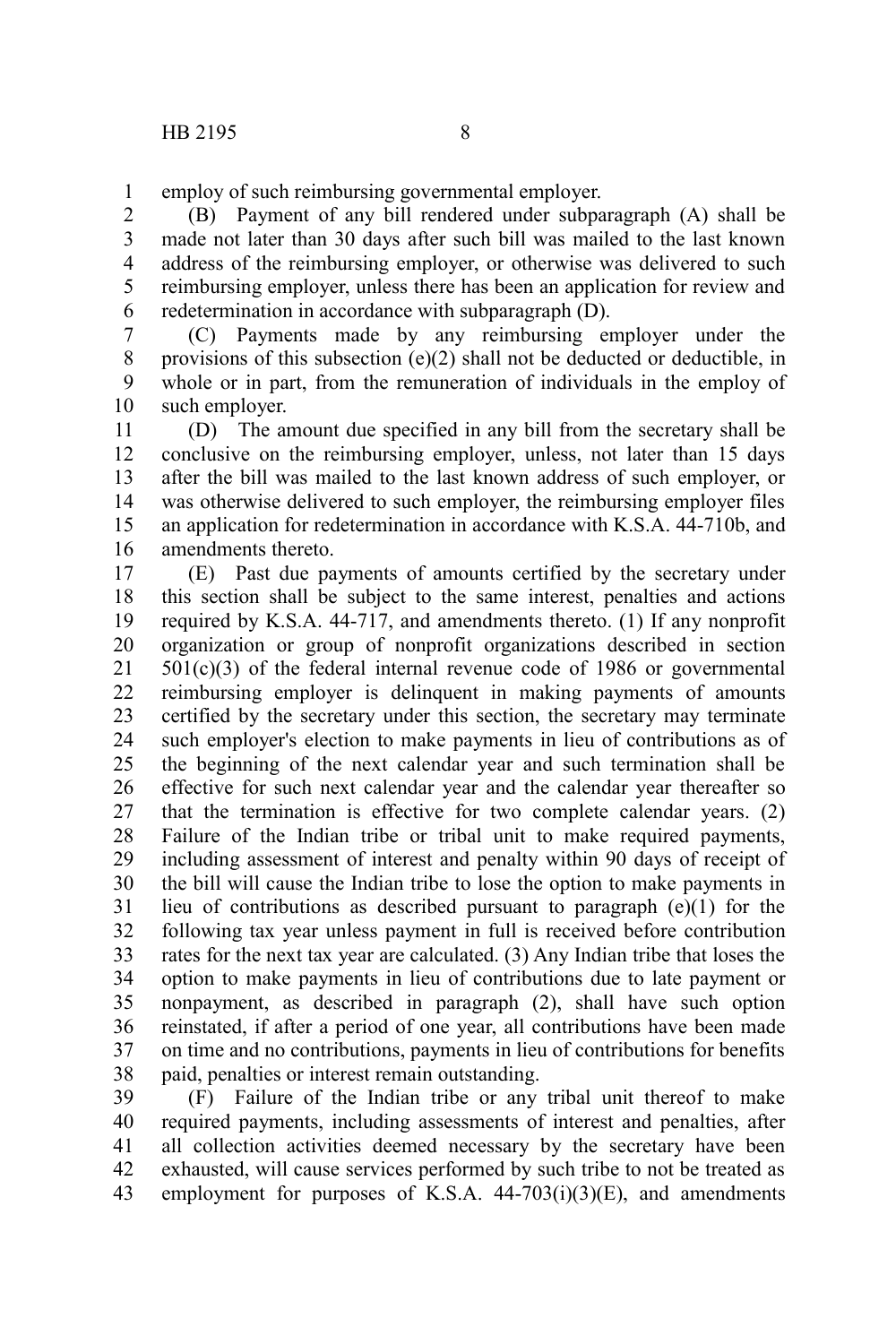employ of such reimbursing governmental employer. 1

(B) Payment of any bill rendered under subparagraph (A) shall be made not later than 30 days after such bill was mailed to the last known address of the reimbursing employer, or otherwise was delivered to such reimbursing employer, unless there has been an application for review and redetermination in accordance with subparagraph (D). 2 3 4 5 6

(C) Payments made by any reimbursing employer under the provisions of this subsection (e)(2) shall not be deducted or deductible, in whole or in part, from the remuneration of individuals in the employ of such employer. 7 8 9 10

(D) The amount due specified in any bill from the secretary shall be conclusive on the reimbursing employer, unless, not later than 15 days after the bill was mailed to the last known address of such employer, or was otherwise delivered to such employer, the reimbursing employer files an application for redetermination in accordance with K.S.A. 44-710b, and amendments thereto. 11 12 13 14 15 16

(E) Past due payments of amounts certified by the secretary under this section shall be subject to the same interest, penalties and actions required by K.S.A. 44-717, and amendments thereto. (1) If any nonprofit organization or group of nonprofit organizations described in section  $501(c)(3)$  of the federal internal revenue code of 1986 or governmental reimbursing employer is delinquent in making payments of amounts certified by the secretary under this section, the secretary may terminate such employer's election to make payments in lieu of contributions as of the beginning of the next calendar year and such termination shall be effective for such next calendar year and the calendar year thereafter so that the termination is effective for two complete calendar years. (2) Failure of the Indian tribe or tribal unit to make required payments, including assessment of interest and penalty within 90 days of receipt of the bill will cause the Indian tribe to lose the option to make payments in lieu of contributions as described pursuant to paragraph (e)(1) for the following tax year unless payment in full is received before contribution rates for the next tax year are calculated. (3) Any Indian tribe that loses the option to make payments in lieu of contributions due to late payment or nonpayment, as described in paragraph (2), shall have such option reinstated, if after a period of one year, all contributions have been made on time and no contributions, payments in lieu of contributions for benefits paid, penalties or interest remain outstanding. 17 18 19 20 21 22 23 24 25 26 27 28 29 30 31 32 33 34 35 36 37 38

(F) Failure of the Indian tribe or any tribal unit thereof to make required payments, including assessments of interest and penalties, after all collection activities deemed necessary by the secretary have been exhausted, will cause services performed by such tribe to not be treated as employment for purposes of K.S.A.  $44-703(i)(3)(E)$ , and amendments 39 40 41 42 43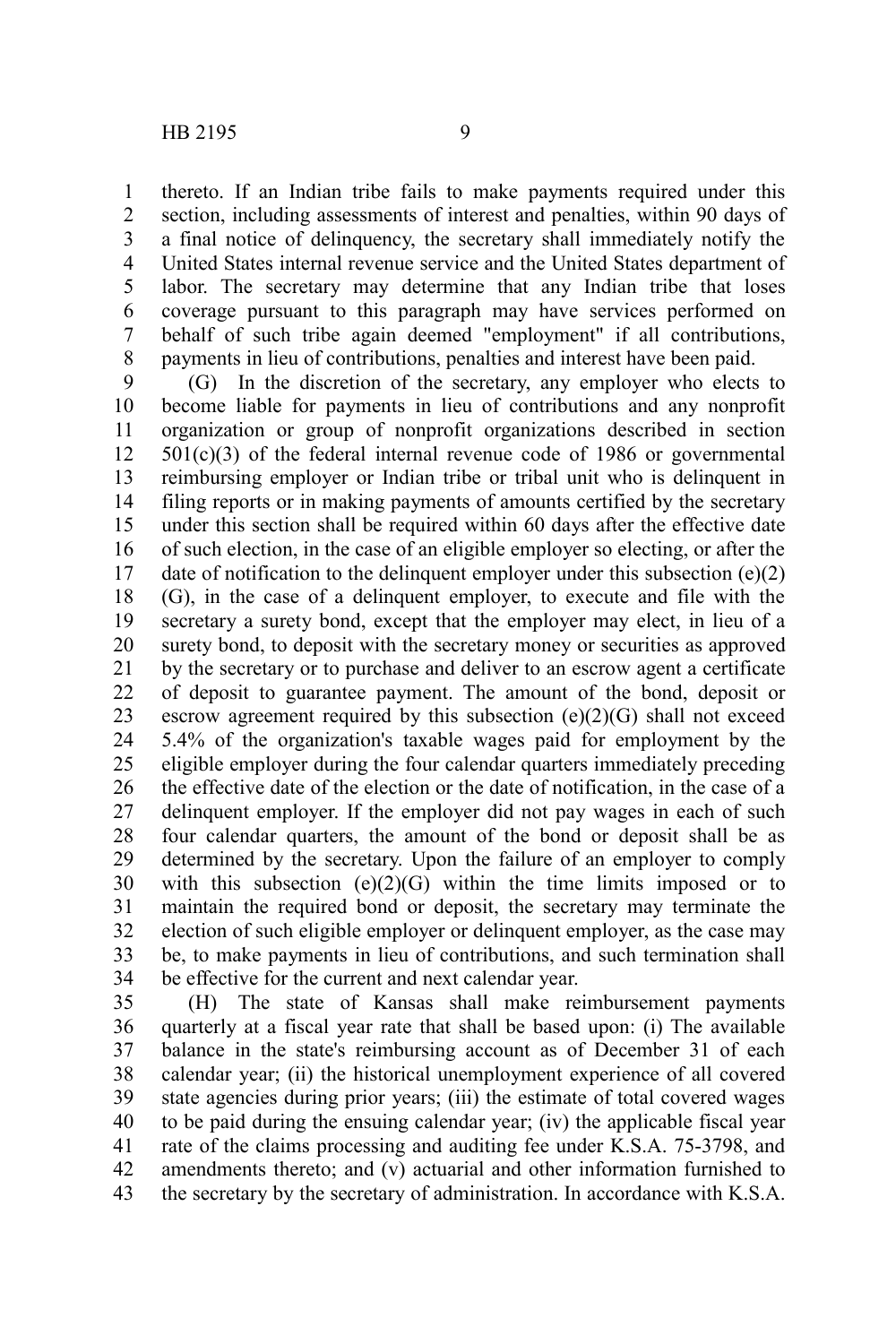thereto. If an Indian tribe fails to make payments required under this section, including assessments of interest and penalties, within 90 days of a final notice of delinquency, the secretary shall immediately notify the United States internal revenue service and the United States department of labor. The secretary may determine that any Indian tribe that loses coverage pursuant to this paragraph may have services performed on behalf of such tribe again deemed "employment" if all contributions, payments in lieu of contributions, penalties and interest have been paid. 1 2 3 4 5 6 7 8

(G) In the discretion of the secretary, any employer who elects to become liable for payments in lieu of contributions and any nonprofit organization or group of nonprofit organizations described in section  $501(c)(3)$  of the federal internal revenue code of 1986 or governmental reimbursing employer or Indian tribe or tribal unit who is delinquent in filing reports or in making payments of amounts certified by the secretary under this section shall be required within 60 days after the effective date of such election, in the case of an eligible employer so electing, or after the date of notification to the delinquent employer under this subsection (e)(2) (G), in the case of a delinquent employer, to execute and file with the secretary a surety bond, except that the employer may elect, in lieu of a surety bond, to deposit with the secretary money or securities as approved by the secretary or to purchase and deliver to an escrow agent a certificate of deposit to guarantee payment. The amount of the bond, deposit or escrow agreement required by this subsection  $(e)(2)(G)$  shall not exceed 5.4% of the organization's taxable wages paid for employment by the eligible employer during the four calendar quarters immediately preceding the effective date of the election or the date of notification, in the case of a delinquent employer. If the employer did not pay wages in each of such four calendar quarters, the amount of the bond or deposit shall be as determined by the secretary. Upon the failure of an employer to comply with this subsection  $(e)(2)(G)$  within the time limits imposed or to maintain the required bond or deposit, the secretary may terminate the election of such eligible employer or delinquent employer, as the case may be, to make payments in lieu of contributions, and such termination shall be effective for the current and next calendar year. 9 10 11 12 13 14 15 16 17 18 19 20 21 22 23 24 25 26 27 28 29 30 31 32 33 34

(H) The state of Kansas shall make reimbursement payments quarterly at a fiscal year rate that shall be based upon: (i) The available balance in the state's reimbursing account as of December 31 of each calendar year; (ii) the historical unemployment experience of all covered state agencies during prior years; (iii) the estimate of total covered wages to be paid during the ensuing calendar year; (iv) the applicable fiscal year rate of the claims processing and auditing fee under K.S.A. 75-3798, and amendments thereto; and (v) actuarial and other information furnished to the secretary by the secretary of administration. In accordance with K.S.A. 35 36 37 38 39 40 41 42 43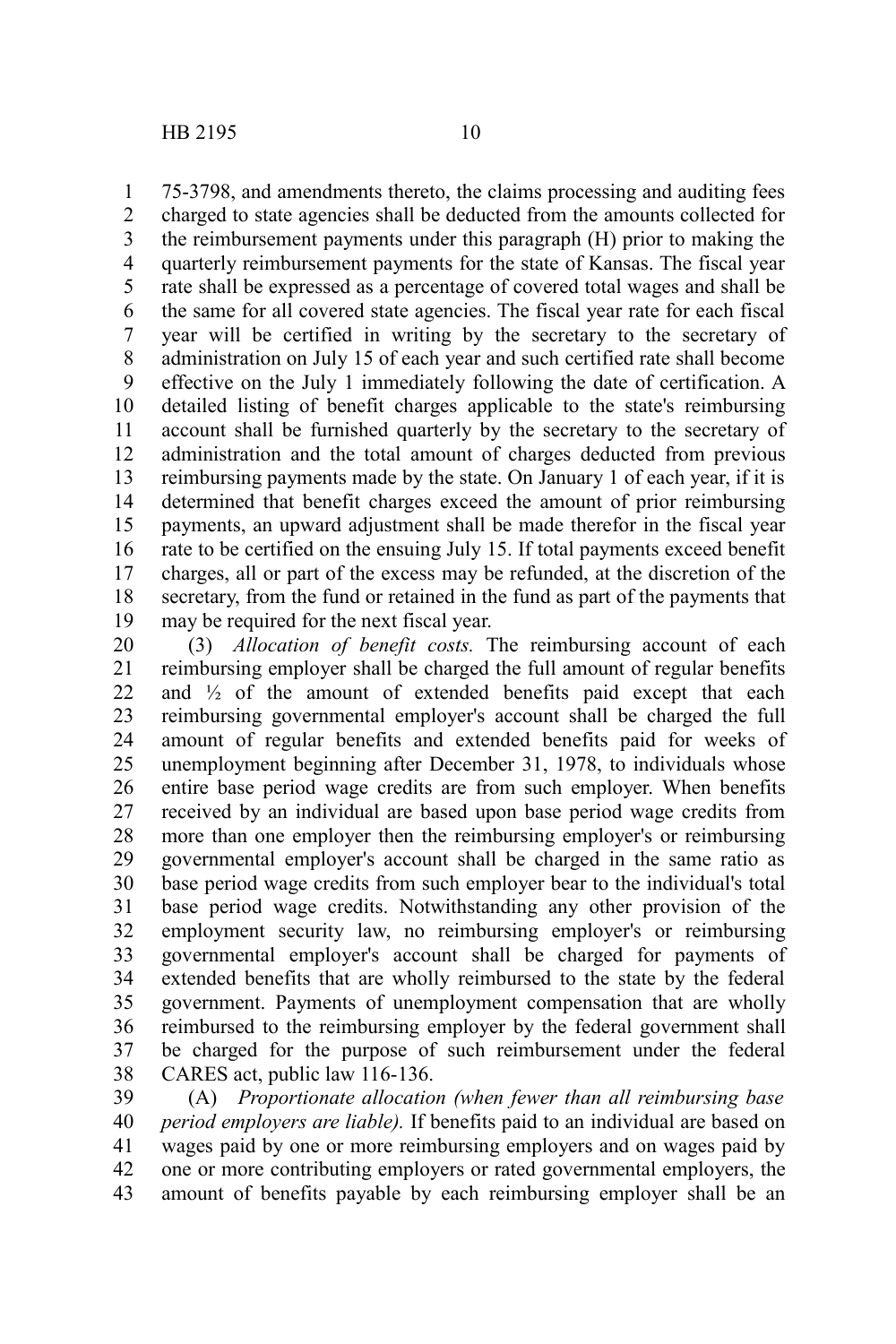75-3798, and amendments thereto, the claims processing and auditing fees charged to state agencies shall be deducted from the amounts collected for the reimbursement payments under this paragraph (H) prior to making the quarterly reimbursement payments for the state of Kansas. The fiscal year rate shall be expressed as a percentage of covered total wages and shall be the same for all covered state agencies. The fiscal year rate for each fiscal year will be certified in writing by the secretary to the secretary of administration on July 15 of each year and such certified rate shall become effective on the July 1 immediately following the date of certification. A detailed listing of benefit charges applicable to the state's reimbursing account shall be furnished quarterly by the secretary to the secretary of administration and the total amount of charges deducted from previous reimbursing payments made by the state. On January 1 of each year, if it is determined that benefit charges exceed the amount of prior reimbursing payments, an upward adjustment shall be made therefor in the fiscal year rate to be certified on the ensuing July 15. If total payments exceed benefit charges, all or part of the excess may be refunded, at the discretion of the secretary, from the fund or retained in the fund as part of the payments that may be required for the next fiscal year. 1 2 3 4 5 6 7 8 9 10 11 12 13 14 15 16 17 18 19

(3) *Allocation of benefit costs.* The reimbursing account of each reimbursing employer shall be charged the full amount of regular benefits and  $\frac{1}{2}$  of the amount of extended benefits paid except that each reimbursing governmental employer's account shall be charged the full amount of regular benefits and extended benefits paid for weeks of unemployment beginning after December 31, 1978, to individuals whose entire base period wage credits are from such employer. When benefits received by an individual are based upon base period wage credits from more than one employer then the reimbursing employer's or reimbursing governmental employer's account shall be charged in the same ratio as base period wage credits from such employer bear to the individual's total base period wage credits. Notwithstanding any other provision of the employment security law, no reimbursing employer's or reimbursing governmental employer's account shall be charged for payments of extended benefits that are wholly reimbursed to the state by the federal government. Payments of unemployment compensation that are wholly reimbursed to the reimbursing employer by the federal government shall be charged for the purpose of such reimbursement under the federal CARES act, public law 116-136. 20 21 22 23 24 25 26 27 28 29 30 31 32 33 34 35 36 37 38

(A) *Proportionate allocation (when fewer than all reimbursing base period employers are liable).* If benefits paid to an individual are based on wages paid by one or more reimbursing employers and on wages paid by one or more contributing employers or rated governmental employers, the amount of benefits payable by each reimbursing employer shall be an 39 40 41 42 43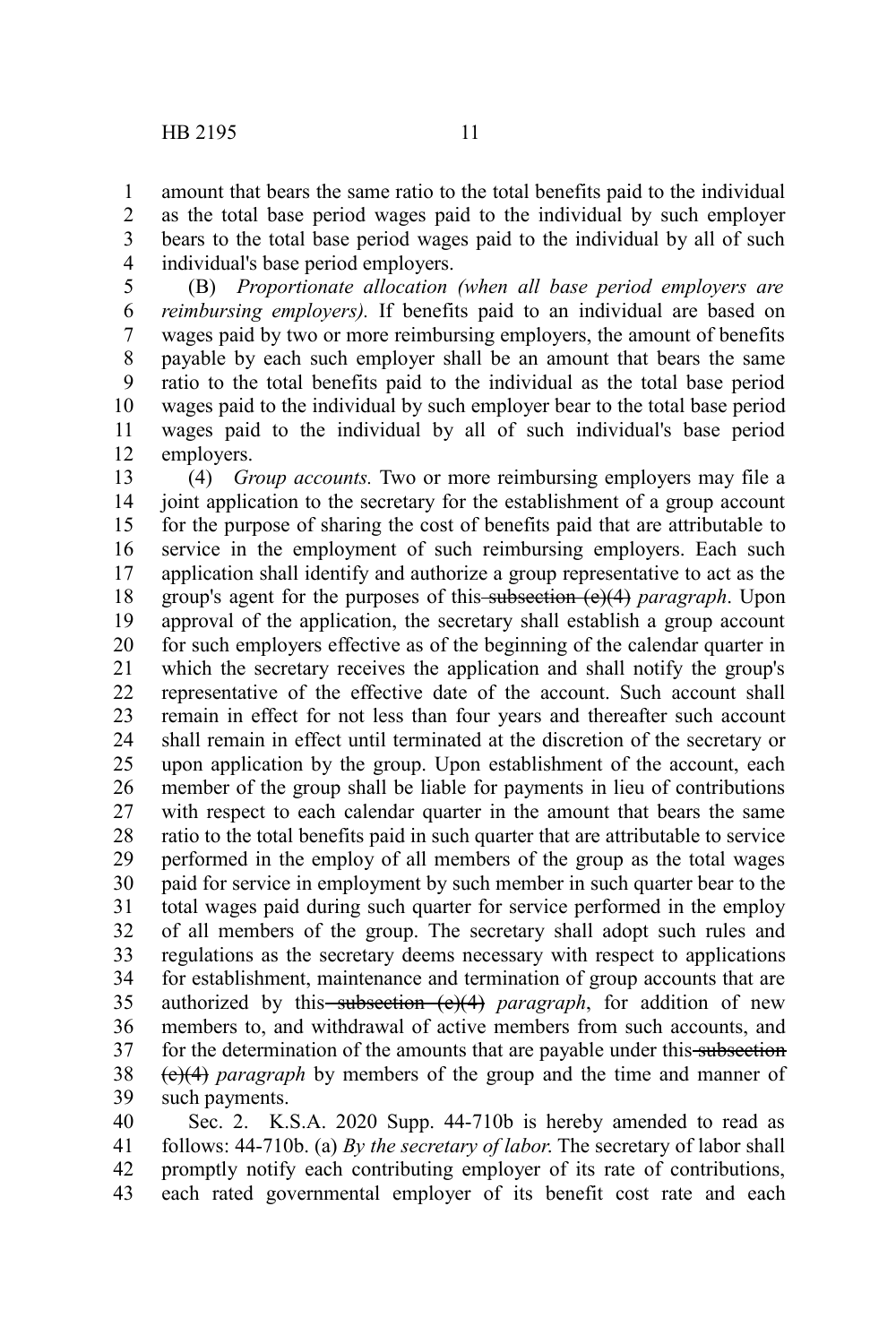amount that bears the same ratio to the total benefits paid to the individual as the total base period wages paid to the individual by such employer bears to the total base period wages paid to the individual by all of such individual's base period employers. 1 2 3 4

(B) *Proportionate allocation (when all base period employers are reimbursing employers).* If benefits paid to an individual are based on wages paid by two or more reimbursing employers, the amount of benefits payable by each such employer shall be an amount that bears the same ratio to the total benefits paid to the individual as the total base period wages paid to the individual by such employer bear to the total base period wages paid to the individual by all of such individual's base period employers. 5 6 7 8 9 10 11 12

(4) *Group accounts.* Two or more reimbursing employers may file a joint application to the secretary for the establishment of a group account for the purpose of sharing the cost of benefits paid that are attributable to service in the employment of such reimbursing employers. Each such application shall identify and authorize a group representative to act as the group's agent for the purposes of this subsection (e)(4) *paragraph*. Upon approval of the application, the secretary shall establish a group account for such employers effective as of the beginning of the calendar quarter in which the secretary receives the application and shall notify the group's representative of the effective date of the account. Such account shall remain in effect for not less than four years and thereafter such account shall remain in effect until terminated at the discretion of the secretary or upon application by the group. Upon establishment of the account, each member of the group shall be liable for payments in lieu of contributions with respect to each calendar quarter in the amount that bears the same ratio to the total benefits paid in such quarter that are attributable to service performed in the employ of all members of the group as the total wages paid for service in employment by such member in such quarter bear to the total wages paid during such quarter for service performed in the employ of all members of the group. The secretary shall adopt such rules and regulations as the secretary deems necessary with respect to applications for establishment, maintenance and termination of group accounts that are authorized by this subsection (e)(4) *paragraph*, for addition of new members to, and withdrawal of active members from such accounts, and for the determination of the amounts that are payable under this subsection (e)(4) *paragraph* by members of the group and the time and manner of such payments. 13 14 15 16 17 18 19 20 21 22 23 24 25 26 27 28 29 30 31 32 33 34 35 36 37 38 39

Sec. 2. K.S.A. 2020 Supp. 44-710b is hereby amended to read as follows: 44-710b. (a) *By the secretary of labor*. The secretary of labor shall promptly notify each contributing employer of its rate of contributions, each rated governmental employer of its benefit cost rate and each 40 41 42 43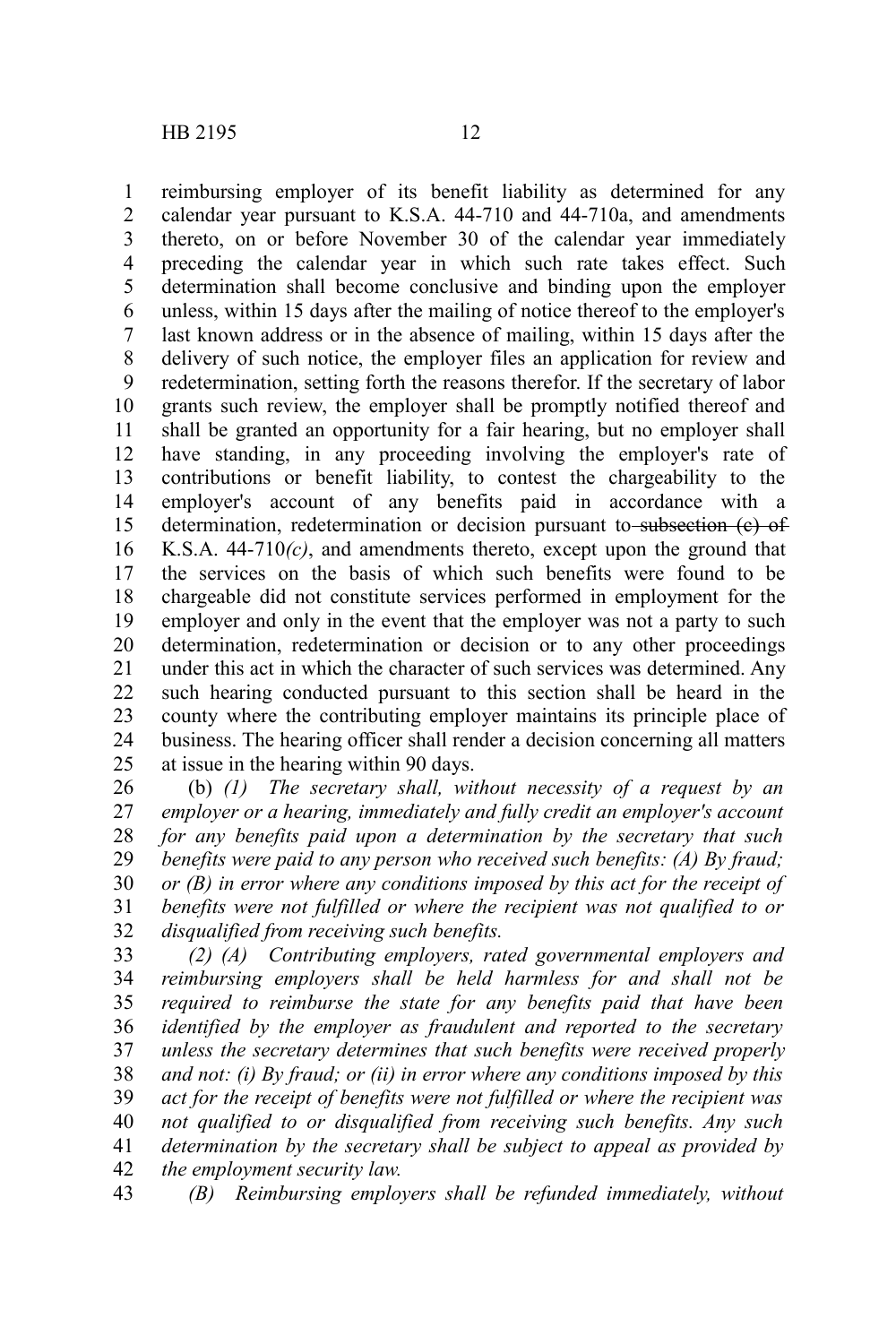reimbursing employer of its benefit liability as determined for any calendar year pursuant to K.S.A. 44-710 and 44-710a, and amendments thereto, on or before November 30 of the calendar year immediately preceding the calendar year in which such rate takes effect. Such determination shall become conclusive and binding upon the employer unless, within 15 days after the mailing of notice thereof to the employer's last known address or in the absence of mailing, within 15 days after the delivery of such notice, the employer files an application for review and redetermination, setting forth the reasons therefor. If the secretary of labor grants such review, the employer shall be promptly notified thereof and shall be granted an opportunity for a fair hearing, but no employer shall have standing, in any proceeding involving the employer's rate of contributions or benefit liability, to contest the chargeability to the employer's account of any benefits paid in accordance with a determination, redetermination or decision pursuant to subsection (e) of K.S.A. 44-710*(c)*, and amendments thereto, except upon the ground that the services on the basis of which such benefits were found to be chargeable did not constitute services performed in employment for the employer and only in the event that the employer was not a party to such determination, redetermination or decision or to any other proceedings under this act in which the character of such services was determined. Any such hearing conducted pursuant to this section shall be heard in the county where the contributing employer maintains its principle place of business. The hearing officer shall render a decision concerning all matters at issue in the hearing within 90 days. 1 2 3 4 5 6 7 8 9 10 11 12 13 14 15 16 17 18 19 20 21 22 23 24 25

(b) *(1) The secretary shall, without necessity of a request by an employer or a hearing, immediately and fully credit an employer's account for any benefits paid upon a determination by the secretary that such benefits were paid to any person who received such benefits: (A) By fraud; or (B) in error where any conditions imposed by this act for the receipt of benefits were not fulfilled or where the recipient was not qualified to or disqualified from receiving such benefits.* 26 27 28 29 30 31 32

*(2) (A) Contributing employers, rated governmental employers and reimbursing employers shall be held harmless for and shall not be required to reimburse the state for any benefits paid that have been identified by the employer as fraudulent and reported to the secretary unless the secretary determines that such benefits were received properly and not: (i) By fraud; or (ii) in error where any conditions imposed by this act for the receipt of benefits were not fulfilled or where the recipient was not qualified to or disqualified from receiving such benefits. Any such determination by the secretary shall be subject to appeal as provided by the employment security law.* 33 34 35 36 37 38 39 40 41 42

*(B) Reimbursing employers shall be refunded immediately, without* 43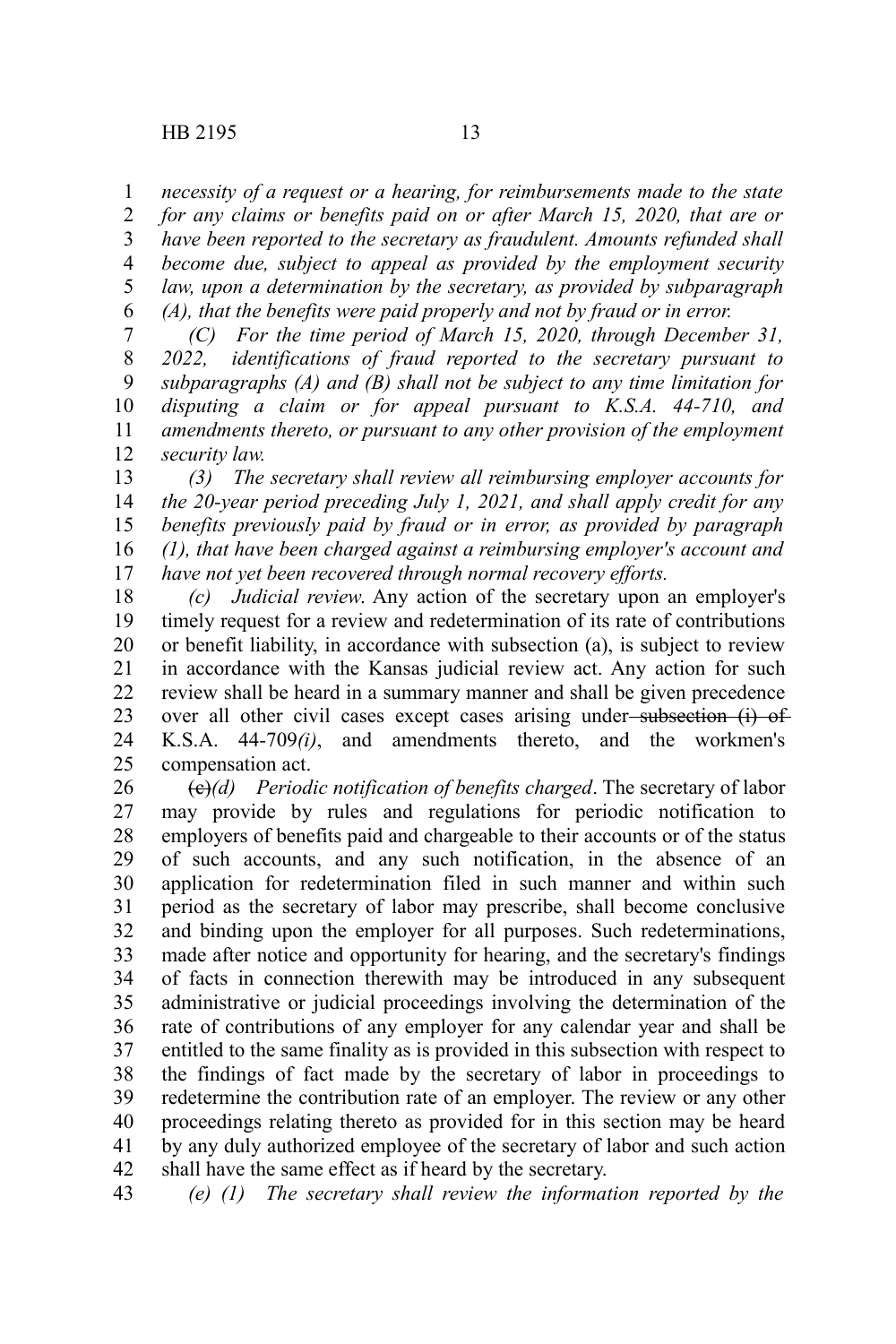*necessity of a request or a hearing, for reimbursements made to the state* 1

*for any claims or benefits paid on or after March 15, 2020, that are or have been reported to the secretary as fraudulent. Amounts refunded shall become due, subject to appeal as provided by the employment security law, upon a determination by the secretary, as provided by subparagraph (A), that the benefits were paid properly and not by fraud or in error.* 2 3 4 5 6

*(C) For the time period of March 15, 2020, through December 31, 2022, identifications of fraud reported to the secretary pursuant to subparagraphs (A) and (B) shall not be subject to any time limitation for disputing a claim or for appeal pursuant to K.S.A. 44-710, and amendments thereto, or pursuant to any other provision of the employment security law.* 7 8 9 10 11 12

*(3) The secretary shall review all reimbursing employer accounts for the 20-year period preceding July 1, 2021, and shall apply credit for any benefits previously paid by fraud or in error, as provided by paragraph (1), that have been charged against a reimbursing employer's account and have not yet been recovered through normal recovery efforts.* 13 14 15 16 17

*(c) Judicial review*. Any action of the secretary upon an employer's timely request for a review and redetermination of its rate of contributions or benefit liability, in accordance with subsection (a), is subject to review in accordance with the Kansas judicial review act. Any action for such review shall be heard in a summary manner and shall be given precedence over all other civil cases except cases arising under-subsection (i) of K.S.A. 44-709*(i)*, and amendments thereto, and the workmen's compensation act. 18 19 20 21 22 23 24 25

(c)*(d) Periodic notification of benefits charged*. The secretary of labor may provide by rules and regulations for periodic notification to employers of benefits paid and chargeable to their accounts or of the status of such accounts, and any such notification, in the absence of an application for redetermination filed in such manner and within such period as the secretary of labor may prescribe, shall become conclusive and binding upon the employer for all purposes. Such redeterminations, made after notice and opportunity for hearing, and the secretary's findings of facts in connection therewith may be introduced in any subsequent administrative or judicial proceedings involving the determination of the rate of contributions of any employer for any calendar year and shall be entitled to the same finality as is provided in this subsection with respect to the findings of fact made by the secretary of labor in proceedings to redetermine the contribution rate of an employer. The review or any other proceedings relating thereto as provided for in this section may be heard by any duly authorized employee of the secretary of labor and such action shall have the same effect as if heard by the secretary. 26 27 28 29 30 31 32 33 34 35 36 37 38 39 40 41 42

*(e) (1) The secretary shall review the information reported by the* 43